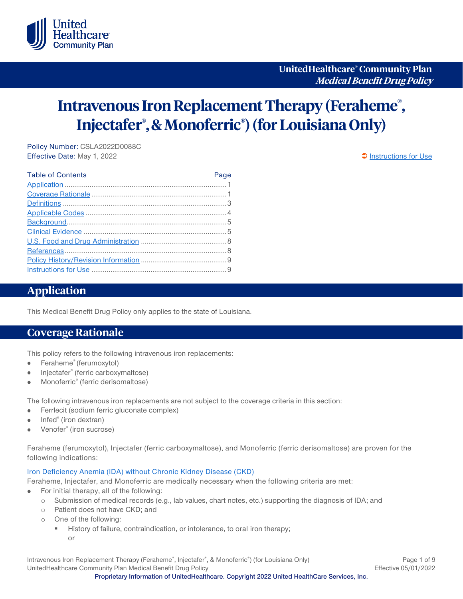

**UnitedHealthcare® Community Plan Medical Benefit Drug Policy**

# **Intravenous Iron Replacement Therapy (Feraheme® , Injectafer® , & Monoferric® ) (for Louisiana Only)**

Policy Number: CSLA2022D0088C Effective Date: May 1, 2022 **[Instructions for Use](#page-8-0)** extending the state of the state of the state of the state of the state of the state of the state of the state of the state of the state of the state of the state of the s

| <b>Table of Contents</b> | Page |
|--------------------------|------|
|                          |      |
|                          |      |
|                          |      |
|                          |      |
|                          |      |
|                          |      |
|                          |      |
|                          |      |
|                          |      |
|                          |      |

## <span id="page-0-0"></span>**Application**

This Medical Benefit Drug Policy only applies to the state of Louisiana.

#### <span id="page-0-1"></span>**Coverage Rationale**

This policy refers to the following intravenous iron replacements:

- Feraheme® (ferumoxytol)  $\bullet$
- Injectafer® (ferric carboxymaltose)  $\bullet$
- Monoferric® (ferric derisomaltose)

The following intravenous iron replacements are not subject to the coverage criteria in this section:

- Ferrlecit (sodium ferric gluconate complex)  $\bullet$
- Infed® (iron dextran)  $\bullet$
- Venofer® (iron sucrose)

Feraheme (ferumoxytol), Injectafer (ferric carboxymaltose), and Monoferric (ferric derisomaltose) are proven for the following indications:

#### [Iron Deficiency Anemia \(IDA\) without Chronic Kidney Disease \(CKD\)](#page-2-1)

Feraheme, Injectafer, and Monoferric are medically necessary when the following criteria are met:

- For initial therapy, all of the following:
	- o Submission of medical records (e.g., lab values, chart notes, etc.) supporting the diagnosis of IDA; and
	- o Patient does not have CKD; and
	- o One of the following:
		- History of failure, contraindication, or intolerance, to oral iron therapy; or

Intravenous Iron Replacement Therapy (Feraheme®, Injectafer®, & Monoferric®) (for Louisiana Only) Page 1 of 9 UnitedHealthcare Community Plan Medical Benefit Drug Policy **Effective 05/01/2022** Effective 05/01/2022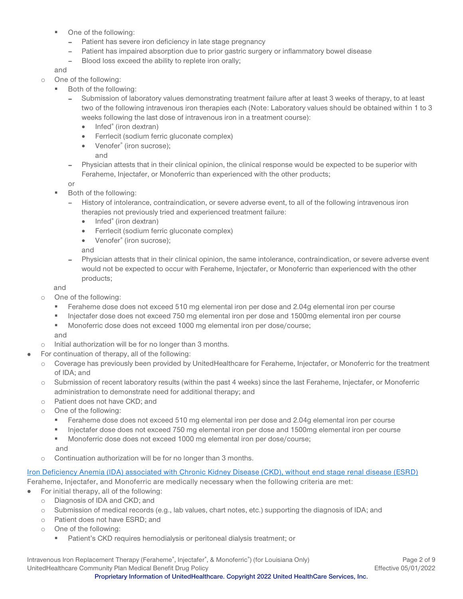- One of the following:
	- Patient has severe iron deficiency in late stage pregnancy
	- Patient has impaired absorption due to prior gastric surgery or inflammatory bowel disease
	- Blood loss exceed the ability to replete iron orally;

and

- o One of the following:
	- Both of the following:
		- Submission of laboratory values demonstrating treatment failure after at least 3 weeks of therapy, to at least two of the following intravenous iron therapies each (Note: Laboratory values should be obtained within 1 to 3 weeks following the last dose of intravenous iron in a treatment course):
			- Infed<sup>®</sup> (iron dextran)
			- Ferrlecit (sodium ferric gluconate complex)
			- Venofer<sup>®</sup> (iron sucrose);
				- and
		- Physician attests that in their clinical opinion, the clinical response would be expected to be superior with Feraheme, Injectafer, or Monoferric than experienced with the other products;

or

- Both of the following:
	- History of intolerance, contraindication, or severe adverse event, to all of the following intravenous iron therapies not previously tried and experienced treatment failure:
		- Infed<sup>®</sup> (iron dextran)
		- Ferrlecit (sodium ferric gluconate complex)
		- Venofer<sup>®</sup> (iron sucrose);

and

Physician attests that in their clinical opinion, the same intolerance, contraindication, or severe adverse event would not be expected to occur with Feraheme, Injectafer, or Monoferric than experienced with the other products;

and

- o One of the following:
	- Feraheme dose does not exceed 510 mg elemental iron per dose and 2.04g elemental iron per course
	- Injectafer dose does not exceed 750 mg elemental iron per dose and 1500mg elemental iron per course
	- Monoferric dose does not exceed 1000 mg elemental iron per dose/course;

and

- o Initial authorization will be for no longer than 3 months.
- For continuation of therapy, all of the following:
	- o Coverage has previously been provided by UnitedHealthcare for Feraheme, Injectafer, or Monoferric for the treatment of IDA; and
	- o Submission of recent laboratory results (within the past 4 weeks) since the last Feraheme, Injectafer, or Monoferric administration to demonstrate need for additional therapy; and
	- o Patient does not have CKD; and
	- o One of the following:
		- Feraheme dose does not exceed 510 mg elemental iron per dose and 2.04g elemental iron per course
		- Injectafer dose does not exceed 750 mg elemental iron per dose and 1500mg elemental iron per course

 Monoferric dose does not exceed 1000 mg elemental iron per dose/course; and

o Continuation authorization will be for no longer than 3 months.

[Iron Deficiency Anemia \(IDA\) associated with Chronic Kidney Disease \(CKD\), without end stage renal disease \(ESRD\)](#page-3-1) Feraheme, Injectafer, and Monoferric are medically necessary when the following criteria are met:

- For initial therapy, all of the following:  $\bullet$ 
	- o Diagnosis of IDA and CKD; and
	- o Submission of medical records (e.g., lab values, chart notes, etc.) supporting the diagnosis of IDA; and
	- o Patient does not have ESRD; and
	- o One of the following:
		- Patient's CKD requires hemodialysis or peritoneal dialysis treatment; or

Intravenous Iron Replacement Therapy (Feraheme®, Injectafer®, & Monoferric®) (for Louisiana Only) Page 2 of 9 UnitedHealthcare Community Plan Medical Benefit Drug Policy **Effective 05/01/2022** Effective 05/01/2022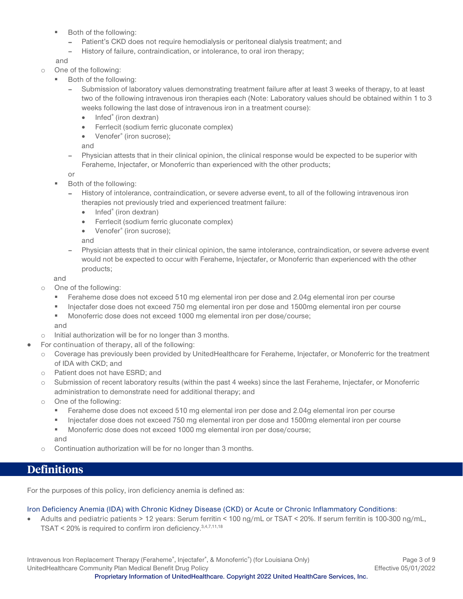- Both of the following:
	- Patient's CKD does not require hemodialysis or peritoneal dialysis treatment; and
	- History of failure, contraindication, or intolerance, to oral iron therapy;

and

- o One of the following:
	- Both of the following:
		- Submission of laboratory values demonstrating treatment failure after at least 3 weeks of therapy, to at least  $\overline{a}$ two of the following intravenous iron therapies each (Note: Laboratory values should be obtained within 1 to 3 weeks following the last dose of intravenous iron in a treatment course):
			- Infed<sup>®</sup> (iron dextran)
			- Ferrlecit (sodium ferric gluconate complex)
			- Venofer<sup>®</sup> (iron sucrose);

and

Physician attests that in their clinical opinion, the clinical response would be expected to be superior with Feraheme, Injectafer, or Monoferric than experienced with the other products;

or

- Both of the following:
	- History of intolerance, contraindication, or severe adverse event, to all of the following intravenous iron therapies not previously tried and experienced treatment failure:
		- Infed<sup>®</sup> (iron dextran)
		- Ferrlecit (sodium ferric gluconate complex)
		- Venofer<sup>®</sup> (iron sucrose);

and

Physician attests that in their clinical opinion, the same intolerance, contraindication, or severe adverse event would not be expected to occur with Feraheme, Injectafer, or Monoferric than experienced with the other products;

and

- o One of the following:
	- Feraheme dose does not exceed 510 mg elemental iron per dose and 2.04g elemental iron per course
	- Injectafer dose does not exceed 750 mg elemental iron per dose and 1500mg elemental iron per course
	- **Monoferric dose does not exceed 1000 mg elemental iron per dose/course;** and
- o Initial authorization will be for no longer than 3 months.
- For continuation of therapy, all of the following:
- o Coverage has previously been provided by UnitedHealthcare for Feraheme, Injectafer, or Monoferric for the treatment of IDA with CKD; and
- o Patient does not have ESRD; and
- o Submission of recent laboratory results (within the past 4 weeks) since the last Feraheme, Injectafer, or Monoferric administration to demonstrate need for additional therapy; and
- o One of the following:
	- Feraheme dose does not exceed 510 mg elemental iron per dose and 2.04g elemental iron per course
	- Injectafer dose does not exceed 750 mg elemental iron per dose and 1500mg elemental iron per course

■ Monoferric dose does not exceed 1000 mg elemental iron per dose/course; and

o Continuation authorization will be for no longer than 3 months.

# <span id="page-2-0"></span>**Definitions**

For the purposes of this policy, iron deficiency anemia is defined as:

#### <span id="page-2-1"></span>Iron Deficiency Anemia (IDA) with Chronic Kidney Disease (CKD) or Acute or Chronic Inflammatory Conditions:

• Adults and pediatric patients > 12 years: Serum ferritin < 100 ng/mL or TSAT < 20%. If serum ferritin is 100-300 ng/mL, TSAT < 20% is required to confirm iron deficiency.3,4,7,11,18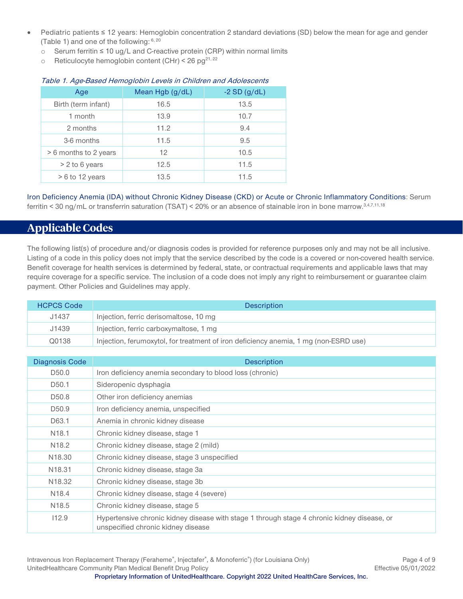- Pediatric patients ≤ 12 years: Hemoglobin concentration 2 standard deviations (SD) below the mean for age and gender (Table 1) and one of the following:  $6, 20$ 
	- o Serum ferritin ≤ 10 ug/L and C-reactive protein (CRP) within normal limits
	- o Reticulocyte hemoglobin content (CHr) < 26 pg<sup>21, 22</sup>

| Age                   | Mean Hgb (g/dL) | $-2$ SD (g/dL) |
|-----------------------|-----------------|----------------|
| Birth (term infant)   | 16.5            | 13.5           |
| 1 month               | 13.9            | 10.7           |
| 2 months              | 11.2            | 9.4            |
| 3-6 months            | 11.5            | 9.5            |
| > 6 months to 2 years | 12 <sup>°</sup> | 10.5           |
| $> 2$ to 6 years      | 12.5            | 11.5           |
| $> 6$ to 12 years     | 13.5            | 11.5           |

#### Table 1. Age-Based Hemoglobin Levels in Children and Adolescents

<span id="page-3-1"></span>Iron Deficiency Anemia (IDA) without Chronic Kidney Disease (CKD) or Acute or Chronic Inflammatory Conditions: Serum ferritin < 30 ng/mL or transferrin saturation (TSAT) < 20% or an absence of stainable iron in bone marrow. 3,4,7,11,18

# <span id="page-3-0"></span>**Applicable Codes**

The following list(s) of procedure and/or diagnosis codes is provided for reference purposes only and may not be all inclusive. Listing of a code in this policy does not imply that the service described by the code is a covered or non-covered health service. Benefit coverage for health services is determined by federal, state, or contractual requirements and applicable laws that may require coverage for a specific service. The inclusion of a code does not imply any right to reimbursement or guarantee claim payment. Other Policies and Guidelines may apply.

| <b>HCPCS Code</b> | <b>Description</b>                                                                   |
|-------------------|--------------------------------------------------------------------------------------|
| J1437             | Injection, ferric derisomaltose, 10 mg                                               |
| J1439             | Injection, ferric carboxymaltose, 1 mg                                               |
| Q0138             | Injection, ferumoxytol, for treatment of iron deficiency anemia, 1 mg (non-ESRD use) |

| Diagnosis Code     | <b>Description</b>                                                                                                                |
|--------------------|-----------------------------------------------------------------------------------------------------------------------------------|
| D <sub>50.0</sub>  | Iron deficiency anemia secondary to blood loss (chronic)                                                                          |
| D <sub>50.1</sub>  | Sideropenic dysphagia                                                                                                             |
| D <sub>50.8</sub>  | Other iron deficiency anemias                                                                                                     |
| D <sub>50.9</sub>  | Iron deficiency anemia, unspecified                                                                                               |
| D63.1              | Anemia in chronic kidney disease                                                                                                  |
| N <sub>18.1</sub>  | Chronic kidney disease, stage 1                                                                                                   |
| N <sub>18.2</sub>  | Chronic kidney disease, stage 2 (mild)                                                                                            |
| N <sub>18.30</sub> | Chronic kidney disease, stage 3 unspecified                                                                                       |
| N <sub>18.31</sub> | Chronic kidney disease, stage 3a                                                                                                  |
| N <sub>18.32</sub> | Chronic kidney disease, stage 3b                                                                                                  |
| N <sub>18.4</sub>  | Chronic kidney disease, stage 4 (severe)                                                                                          |
| N <sub>18.5</sub>  | Chronic kidney disease, stage 5                                                                                                   |
| 112.9              | Hypertensive chronic kidney disease with stage 1 through stage 4 chronic kidney disease, or<br>unspecified chronic kidney disease |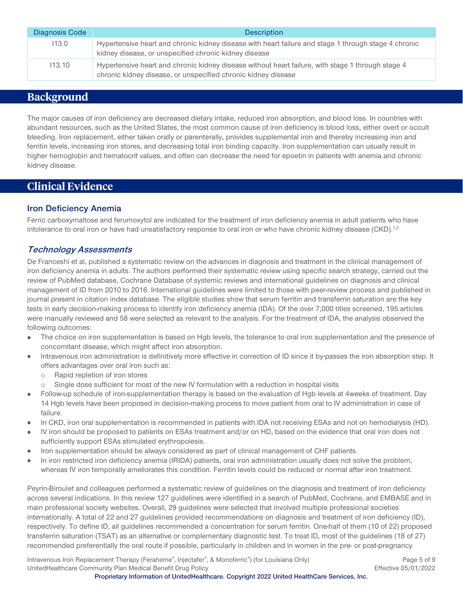| Diagnosis Code | <b>Description</b>                                                                                                                                                 |
|----------------|--------------------------------------------------------------------------------------------------------------------------------------------------------------------|
| 113.0          | Hypertensive heart and chronic kidney disease with heart failure and stage 1 through stage 4 chronic<br>kidney disease, or unspecified chronic kidney disease      |
| 113.10         | Hypertensive heart and chronic kidney disease without heart failure, with stage 1 through stage 4<br>chronic kidney disease, or unspecified chronic kidney disease |

# <span id="page-4-0"></span>**Background**

The major causes of iron deficiency are decreased dietary intake, reduced iron absorption, and blood loss. In countries with abundant resources, such as the United States, the most common cause of iron deficiency is blood loss, either overt or occult bleeding. Iron replacement, either taken orally or parenterally, provides supplemental iron and thereby increasing iron and ferritin levels, increasing iron stores, and decreasing total iron binding capacity. Iron supplementation can usually result in higher hemoglobin and hematocrit values, and often can decrease the need for epoetin in patients with anemia and chronic kidney disease.

# <span id="page-4-1"></span>**Clinical Evidence**

#### **Iron Deficiency Anemia**

Ferric carboxymaltose and ferumoxytol are indicated for the treatment of iron deficiency anemia in adult patients who have intolerance to oral iron or have had unsatisfactory response to oral iron or who have chronic kidney disease (CKD).<sup>1,2</sup>

#### **Technology Assessments**

De Franceshi et al, published a systematic review on the advances in diagnosis and treatment in the clinical management of iron deficiency anemia in adults. The authors performed their systematic review using specific search strategy, carried out the review of PubMed database, Cochrane Database of systemic reviews and international guidelines on diagnosis and clinical management of ID from 2010 to 2016. International guidelines were limited to those with peer-review process and published in journal present in citation index database. The eligible studies show that serum ferritin and transferrin saturation are the key tests in early decision-making process to identify iron deficiency anemia (IDA). Of the over 7,000 titles screened, 195 articles were manually reviewed and 58 were selected as relevant to the analysis. For the treatment of IDA, the analysis observed the following outcomes:

- The choice on iron supplementation is based on Hgb levels, the tolerance to oral iron supplementation and the presence of concomitant disease, which might affect iron absorption.
- Intravenous iron administration is definitively more effective in correction of ID since it by-passes the iron absorption step. It offers advantages over oral iron such as:
	- o Rapid repletion of iron stores
	- $\circ$  Single dose sufficient for most of the new IV formulation with a reduction in hospital visits
- Follow-up schedule of iron-supplementation therapy is based on the evaluation of Hgb levels at 4weeks of treatment. Day 14 Hgb levels have been proposed in decision-making process to move patient from oral to IV administration in case of failure.
- In CKD, iron oral supplementation is recommended in patients with IDA not receiving ESAs and not on hemodialysis (HD).
- IV iron should be proposed to patients on ESAs treatment and/or on HD, based on the evidence that oral iron does not sufficiently support ESAs stimulated erythropoiesis.
- Iron supplementation should be always considered as part of clinical management of CHF patients.
- In iron restricted iron deficiency anemia (IRIDA) patients, oral iron administration usually does not solve the problem, whereas IV iron temporally ameliorates this condition. Ferritin levels could be reduced or normal after iron treatment.

Peyrin-Biroulet and colleagues performed a systematic review of guidelines on the diagnosis and treatment of iron deficiency across several indications. In this review 127 guidelines were identified in a search of PubMed, Cochrane, and EMBASE and in main professional society websites. Overall, 29 guidelines were selected that involved multiple professional societies internationally. A total of 22 and 27 guidelines provided recommendations on diagnosis and treatment of iron deficiency (ID), respectively. To define ID, all guidelines recommended a concentration for serum ferritin. One-half of them (10 of 22) proposed transferrin saturation (TSAT) as an alternative or complementary diagnostic test. To treat ID, most of the guidelines (18 of 27) recommended preferentially the oral route if possible, particularly in children and in women in the pre- or post-pregnancy

Intravenous Iron Replacement Therapy (Feraheme®, Injectafer®, & Monoferric®) (for Louisiana Only) Page 5 of 9 UnitedHealthcare Community Plan Medical Benefit Drug Policy **Effective 05/01/2022** Effective 05/01/2022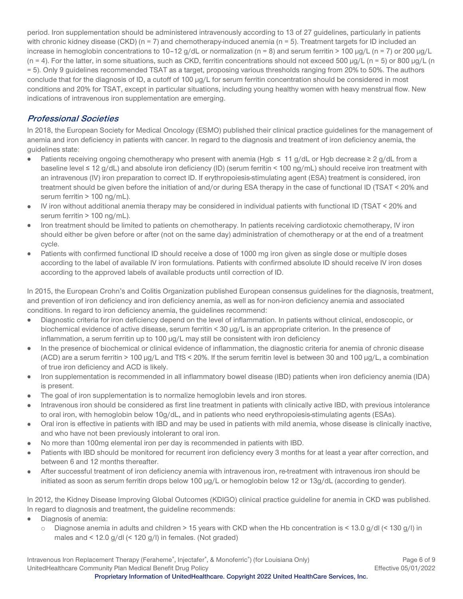period. Iron supplementation should be administered intravenously according to 13 of 27 guidelines, particularly in patients with chronic kidney disease (CKD) ( $n = 7$ ) and chemotherapy-induced anemia ( $n = 5$ ). Treatment targets for ID included an increase in hemoglobin concentrations to 10–12 g/dL or normalization (n = 8) and serum ferritin > 100  $\mu$ g/L (n = 7) or 200  $\mu$ g/L  $(n = 4)$ . For the latter, in some situations, such as CKD, ferritin concentrations should not exceed 500  $\mu q/L$  (n = 5) or 800  $\mu q/L$  (n = 5). Only 9 guidelines recommended TSAT as a target, proposing various thresholds ranging from 20% to 50%. The authors conclude that for the diagnosis of ID, a cutoff of 100 µg/L for serum ferritin concentration should be considered in most conditions and 20% for TSAT, except in particular situations, including young healthy women with heavy menstrual flow. New indications of intravenous iron supplementation are emerging.

### **Professional Societies**

In 2018, the European Society for Medical Oncology (ESMO) published their clinical practice guidelines for the management of anemia and iron deficiency in patients with cancer. In regard to the diagnosis and treatment of iron deficiency anemia, the guidelines state:

- Patients receiving ongoing chemotherapy who present with anemia (Hgb ≤ 11 g/dL or Hgb decrease ≥ 2 g/dL from a  $\bullet$ baseline level ≤ 12 g/dL) and absolute iron deficiency (ID) (serum ferritin < 100 ng/mL) should receive iron treatment with an intravenous (IV) iron preparation to correct ID. If erythropoiesis-stimulating agent (ESA) treatment is considered, iron treatment should be given before the initiation of and/or during ESA therapy in the case of functional ID (TSAT < 20% and serum ferritin > 100 ng/mL).
- IV iron without additional anemia therapy may be considered in individual patients with functional ID (TSAT < 20% and  $\bullet$ serum ferritin > 100 ng/mL).
- Iron treatment should be limited to patients on chemotherapy. In patients receiving cardiotoxic chemotherapy, IV iron should either be given before or after (not on the same day) administration of chemotherapy or at the end of a treatment cycle.
- Patients with confirmed functional ID should receive a dose of 1000 mg iron given as single dose or multiple doses according to the label of available IV iron formulations. Patients with confirmed absolute ID should receive IV iron doses according to the approved labels of available products until correction of ID.

In 2015, the European Crohn's and Colitis Organization published European consensus guidelines for the diagnosis, treatment, and prevention of iron deficiency and iron deficiency anemia, as well as for non-iron deficiency anemia and associated conditions. In regard to iron deficiency anemia, the guidelines recommend:

- Diagnostic criteria for iron deficiency depend on the level of inflammation. In patients without clinical, endoscopic, or  $\bullet$ biochemical evidence of active disease, serum ferritin < 30 µg/L is an appropriate criterion. In the presence of inflammation, a serum ferritin up to 100 µg/L may still be consistent with iron deficiency
- In the presence of biochemical or clinical evidence of inflammation, the diagnostic criteria for anemia of chronic disease  $\bullet$ (ACD) are a serum ferritin > 100 µg/L and TfS < 20%. If the serum ferritin level is between 30 and 100 µg/L, a combination of true iron deficiency and ACD is likely.
- Iron supplementation is recommended in all inflammatory bowel disease (IBD) patients when iron deficiency anemia (IDA)  $\bullet$ is present.
- The goal of iron supplementation is to normalize hemoglobin levels and iron stores.  $\bullet$
- Intravenous iron should be considered as first line treatment in patients with clinically active IBD, with previous intolerance to oral iron, with hemoglobin below 10g/dL, and in patients who need erythropoiesis-stimulating agents (ESAs).
- Oral iron is effective in patients with IBD and may be used in patients with mild anemia, whose disease is clinically inactive,  $\bullet$ and who have not been previously intolerant to oral iron.
- No more than 100mg elemental iron per day is recommended in patients with IBD.
- Patients with IBD should be monitored for recurrent iron deficiency every 3 months for at least a year after correction, and between 6 and 12 months thereafter.
- After successful treatment of iron deficiency anemia with intravenous iron, re-treatment with intravenous iron should be  $\bullet$ initiated as soon as serum ferritin drops below 100  $\mu$ g/L or hemoglobin below 12 or 13g/dL (according to gender).

In 2012, the Kidney Disease Improving Global Outcomes (KDIGO) clinical practice guideline for anemia in CKD was published. In regard to diagnosis and treatment, the guideline recommends:

- Diagnosis of anemia:
	- o Diagnose anemia in adults and children > 15 years with CKD when the Hb concentration is < 13.0 g/dl (< 130 g/l) in males and < 12.0 g/dl (< 120 g/l) in females. (Not graded)

Intravenous Iron Replacement Therapy (Feraheme®, Injectafer®, & Monoferric®) (for Louisiana Only) Page 6 of 9 UnitedHealthcare Community Plan Medical Benefit Drug Policy **Effective 05/01/2022** Effective 05/01/2022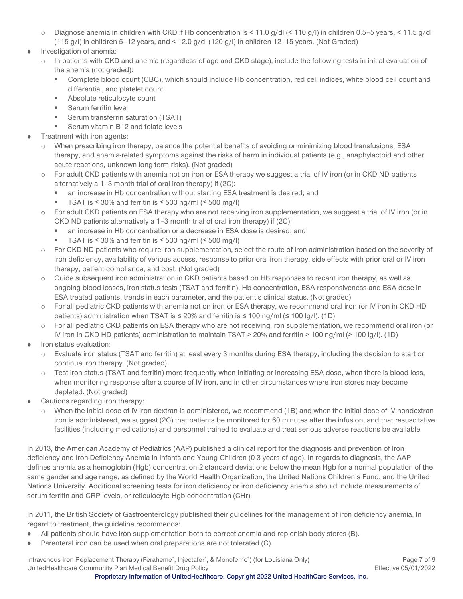- o Diagnose anemia in children with CKD if Hb concentration is < 11.0 g/dl (< 110 g/l) in children 0.5–5 years, < 11.5 g/dl (115 g/l) in children 5–12 years, and < 12.0 g/dl (120 g/l) in children 12–15 years. (Not Graded)
- Investigation of anemia:
	- o In patients with CKD and anemia (regardless of age and CKD stage), include the following tests in initial evaluation of the anemia (not graded):
		- Complete blood count (CBC), which should include Hb concentration, red cell indices, white blood cell count and differential, and platelet count
		- Absolute reticulocyte count
		- Serum ferritin level
		- Serum transferrin saturation (TSAT)
		- Serum vitamin B12 and folate levels
- Treatment with iron agents:
	- o When prescribing iron therapy, balance the potential benefits of avoiding or minimizing blood transfusions, ESA therapy, and anemia-related symptoms against the risks of harm in individual patients (e.g., anaphylactoid and other acute reactions, unknown long-term risks). (Not graded)
	- o For adult CKD patients with anemia not on iron or ESA therapy we suggest a trial of IV iron (or in CKD ND patients alternatively a 1–3 month trial of oral iron therapy) if (2C):
		- an increase in Hb concentration without starting ESA treatment is desired; and
		- TSAT is  $\leq$  30% and ferritin is  $\leq$  500 ng/ml ( $\leq$  500 mg/l)
	- o For adult CKD patients on ESA therapy who are not receiving iron supplementation, we suggest a trial of IV iron (or in CKD ND patients alternatively a 1–3 month trial of oral iron therapy) if (2C):
		- an increase in Hb concentration or a decrease in ESA dose is desired; and
		- TSAT is  $\leq$  30% and ferritin is  $\leq$  500 ng/ml ( $\leq$  500 mg/l)
	- o For CKD ND patients who require iron supplementation, select the route of iron administration based on the severity of iron deficiency, availability of venous access, response to prior oral iron therapy, side effects with prior oral or IV iron therapy, patient compliance, and cost. (Not graded)
	- o Guide subsequent iron administration in CKD patients based on Hb responses to recent iron therapy, as well as ongoing blood losses, iron status tests (TSAT and ferritin), Hb concentration, ESA responsiveness and ESA dose in ESA treated patients, trends in each parameter, and the patient's clinical status. (Not graded)
	- o For all pediatric CKD patients with anemia not on iron or ESA therapy, we recommend oral iron (or IV iron in CKD HD patients) administration when TSAT is  $\leq$  20% and ferritin is  $\leq$  100 ng/ml ( $\leq$  100 lg/l). (1D)
	- o For all pediatric CKD patients on ESA therapy who are not receiving iron supplementation, we recommend oral iron (or IV iron in CKD HD patients) administration to maintain TSAT > 20% and ferritin > 100 ng/ml (> 100 lg/l). (1D)
- Iron status evaluation:
	- o Evaluate iron status (TSAT and ferritin) at least every 3 months during ESA therapy, including the decision to start or continue iron therapy. (Not graded)
	- o Test iron status (TSAT and ferritin) more frequently when initiating or increasing ESA dose, when there is blood loss, when monitoring response after a course of IV iron, and in other circumstances where iron stores may become depleted. (Not graded)
- Cautions regarding iron therapy:
	- o When the initial dose of IV iron dextran is administered, we recommend (1B) and when the initial dose of IV nondextran iron is administered, we suggest (2C) that patients be monitored for 60 minutes after the infusion, and that resuscitative facilities (including medications) and personnel trained to evaluate and treat serious adverse reactions be available.

In 2013, the American Academy of Pediatrics (AAP) published a clinical report for the diagnosis and prevention of Iron deficiency and Iron-Deficiency Anemia in Infants and Young Children (0-3 years of age). In regards to diagnosis, the AAP defines anemia as a hemoglobin (Hgb) concentration 2 standard deviations below the mean Hgb for a normal population of the same gender and age range, as defined by the World Health Organization, the United Nations Children's Fund, and the United Nations University. Additional screening tests for iron deficiency or iron deficiency anemia should include measurements of serum ferritin and CRP levels, or reticulocyte Hgb concentration (CHr).

In 2011, the British Society of Gastroenterology published their guidelines for the management of iron deficiency anemia. In regard to treatment, the guideline recommends:

- All patients should have iron supplementation both to correct anemia and replenish body stores (B).  $\bullet$
- Parenteral iron can be used when oral preparations are not tolerated (C).

Intravenous Iron Replacement Therapy (Feraheme®, Injectafer®, & Monoferric®) (for Louisiana Only) Page 7 of 9 UnitedHealthcare Community Plan Medical Benefit Drug Policy **Effective 05/01/2022** Effective 05/01/2022 **Proprietary Information of UnitedHealthcare. Copyright 2022 United HealthCare Services, Inc.**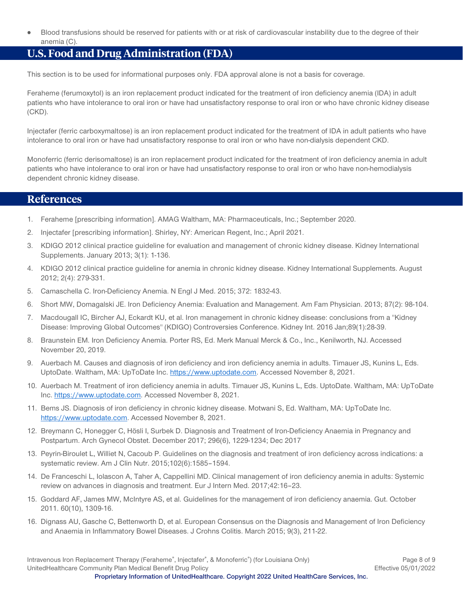Blood transfusions should be reserved for patients with or at risk of cardiovascular instability due to the degree of their anemia (C).

# <span id="page-7-0"></span>**U.S. Food and Drug Administration (FDA)**

This section is to be used for informational purposes only. FDA approval alone is not a basis for coverage.

Feraheme (ferumoxytol) is an iron replacement product indicated for the treatment of iron deficiency anemia (IDA) in adult patients who have intolerance to oral iron or have had unsatisfactory response to oral iron or who have chronic kidney disease (CKD).

Injectafer (ferric carboxymaltose) is an iron replacement product indicated for the treatment of IDA in adult patients who have intolerance to oral iron or have had unsatisfactory response to oral iron or who have non-dialysis dependent CKD.

Monoferric (ferric derisomaltose) is an iron replacement product indicated for the treatment of iron deficiency anemia in adult patients who have intolerance to oral iron or have had unsatisfactory response to oral iron or who have non-hemodialysis dependent chronic kidney disease.

### <span id="page-7-1"></span>**References**

- 1. Feraheme [prescribing information]. AMAG Waltham, MA: Pharmaceuticals, Inc.; September 2020.
- 2. Injectafer [prescribing information]. Shirley, NY: American Regent, Inc.; April 2021.
- 3. KDIGO 2012 clinical practice guideline for evaluation and management of chronic kidney disease. Kidney International Supplements. January 2013; 3(1): 1-136.
- 4. KDIGO 2012 clinical practice guideline for anemia in chronic kidney disease. Kidney International Supplements. August 2012; 2(4): 279-331.
- 5. Camaschella C. Iron-Deficiency Anemia. N Engl J Med. 2015; 372: 1832-43.
- 6. Short MW, Domagalski JE. Iron Deficiency Anemia: Evaluation and Management. Am Fam Physician. 2013; 87(2): 98-104.
- 7. Macdougall IC, Bircher AJ, Eckardt KU, et al. Iron management in chronic kidney disease: conclusions from a "Kidney Disease: Improving Global Outcomes" (KDIGO) Controversies Conference. Kidney Int. 2016 Jan;89(1):28-39.
- 8. Braunstein EM. Iron Deficiency Anemia. Porter RS, Ed. Merk Manual Merck & Co., Inc., Kenilworth, NJ. Accessed November 20, 2019.
- 9. Auerbach M. Causes and diagnosis of iron deficiency and iron deficiency anemia in adults. Timauer JS, Kunins L, Eds. UptoDate. Waltham, MA: UpToDate Inc. [https://www.uptodate.com.](https://www.uptodate.com/) Accessed November 8, 2021.
- 10. Auerbach M. Treatment of iron deficiency anemia in adults. Timauer JS, Kunins L, Eds. UptoDate. Waltham, MA: UpToDate Inc. [https://www.uptodate.com.](https://www.uptodate.com/) Accessed November 8, 2021.
- 11. Bems JS. Diagnosis of iron deficiency in chronic kidney disease. Motwani S, Ed. Waltham, MA: UpToDate Inc. [https://www.uptodate.com.](https://www.uptodate.com/) Accessed November 8, 2021.
- 12. Breymann C, Honegger C, Hösli I, Surbek D. Diagnosis and Treatment of Iron-Deficiency Anaemia in Pregnancy and Postpartum. Arch Gynecol Obstet. December 2017; 296(6), 1229-1234; Dec 2017
- 13. Peyrin-Biroulet L, Williet N, Cacoub P. Guidelines on the diagnosis and treatment of iron deficiency across indications: a systematic review. Am J Clin Nutr. 2015;102(6):1585–1594.
- 14. De Franceschi L, Iolascon A, Taher A, Cappellini MD. Clinical management of iron deficiency anemia in adults: Systemic review on advances in diagnosis and treatment. Eur J Intern Med. 2017;42:16–23.
- 15. Goddard AF, James MW, McIntyre AS, et al. Guidelines for the management of iron deficiency anaemia. Gut. October 2011. 60(10), 1309-16.
- 16. Dignass AU, Gasche C, Bettenworth D, et al. European Consensus on the Diagnosis and Management of Iron Deficiency and Anaemia in Inflammatory Bowel Diseases. J Crohns Colitis. March 2015; 9(3), 211-22.